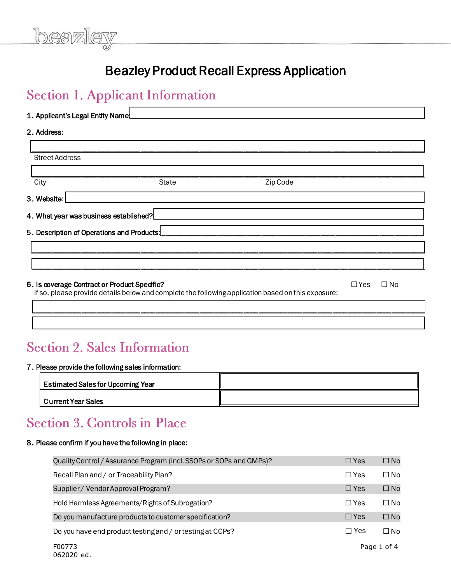# Beazley Product Recall Express Application

<u> La componenta de la componenta de la componenta de la componenta de la componenta de la componenta de la compo</u>

beazle<sup>r</sup>

| 1. Applicant's Legal Entity Name             |              |                                                                                                    |            |           |
|----------------------------------------------|--------------|----------------------------------------------------------------------------------------------------|------------|-----------|
| 2. Address:                                  |              |                                                                                                    |            |           |
|                                              |              |                                                                                                    |            |           |
| <b>Street Address</b>                        |              |                                                                                                    |            |           |
| City                                         | <b>State</b> | Zip Code                                                                                           |            |           |
| 3. Website:                                  |              |                                                                                                    |            |           |
| 4. What year was business established?       |              |                                                                                                    |            |           |
| 5. Description of Operations and Products!   |              |                                                                                                    |            |           |
|                                              |              |                                                                                                    |            |           |
|                                              |              |                                                                                                    |            |           |
| 6. Is coverage Contract or Product Specific? |              | If so, please provide details below and complete the following application based on this exposure: | $\Box$ Yes | $\Box$ No |
|                                              |              |                                                                                                    |            |           |

### **Section 2. Sales Information**

#### 7. Please provide the following sales information:

| <b>Estimated Sales for Upcoming Year</b> |  |
|------------------------------------------|--|
| <b>Current Year Sales</b>                |  |

\_\_\_\_\_\_\_\_\_\_\_\_\_\_\_\_\_\_\_\_\_\_\_\_\_\_\_\_\_\_\_\_\_\_\_\_\_\_\_\_\_\_\_\_\_\_\_\_\_\_\_\_\_\_\_\_\_\_\_\_\_\_\_\_\_\_\_\_\_\_\_\_\_\_\_\_\_\_\_\_\_\_\_\_\_\_\_\_\_\_\_\_\_\_\_\_\_\_\_\_\_\_\_\_\_\_

### **Section 3. Controls in Place**

#### 8. Please confirm if you have the following in place:

| Quality Control / Assurance Program (incl. SSOPs or SOPs and GMPs)? | $\Box$ Yes | $\Box$ No    |
|---------------------------------------------------------------------|------------|--------------|
| Recall Plan and / or Traceability Plan?                             | $\Box$ Yes | $\square$ No |
| Supplier / Vendor Approval Program?                                 | $\Box$ Yes | $\square$ No |
| Hold Harmless Agreements/Rights of Subrogation?                     | $\Box$ Yes | $\Box$ No    |
| Do you manufacture products to customer specification?              | $\Box$ Yes | $\square$ No |
| Do you have end product testing and / or testing at CCPs?           | $\Box$ Yes | $\square$ No |
| F00773                                                              |            | Page 1 of 4  |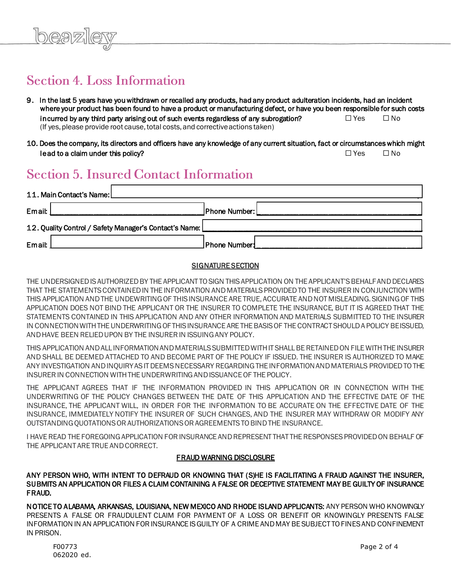## **Section 4. Loss Information**

- 9. In the last 5 years have you withdrawn or recalled any products, had any product adulteration incidents, had an incident where your product has been found to have a product or manufacturing defect, or have you been responsible for such costs incurred by any third party arising out of such events regardless of any subrogation?  $□$  Yes  $□$  No (If yes, please provide root cause, total costs, and corrective actions taken)
- 10. Does the company, its directors and officers have any knowledge of any current situation, fact or circumstances which might lead to a claim under this policy?  $\Box$  Yes  $\Box$  No

### **Section 5. Insured Contact Information**

| 11. Main Contact's Name:                                 |                |
|----------------------------------------------------------|----------------|
| Email:                                                   | Phone Number:  |
| 12. Quality Control / Safety Manager's Contact's Name: [ |                |
| Email:                                                   | ∫Phone Number: |

### **SIGNATURE SECTION**

THE UNDERSIGNED IS AUTHORIZED BY THE APPLICANT TO SIGN THIS APPLICATION ON THE APPLICANT'S BEHALF AND DECLARES THAT THE STATEMENTS CONTAINED IN THE INFORMATION AND MATERIALS PROVIDED TO THE INSURER IN CONJUNCTION WITH THIS APPLICATION AND THE UNDEWRITING OF THIS INSURANCE ARE TRUE, ACCURATE AND NOT MISLEADING. SIGNING OF THIS APPLICATION DOES NOT BIND THE APPLICANT OR THE INSURER TO COMPLETE THE INSURANCE, BUT IT IS AGREED THAT THE STATEMENTS CONTAINED IN THIS APPLICATION AND ANY OTHER INFORMATION AND MATERIALS SUBMITTED TO THE INSURER IN CONNECTION WITH THE UNDERWRITING OF THIS INSURANCE ARE THE BASIS OF THE CONTRACT SHOULD A POLICY BE ISSUED, AND HAVE BEEN RELIED UPON BY THE INSURER IN ISSUING ANY POLICY.

THIS APPLICATION AND ALL INFORMATION AND MATERIALS SUBMITTED WITH IT SHALL BE RETAINED ON FILE WITH THE INSURER AND SHALL BE DEEMED ATTACHED TO AND BECOME PART OF THE POLICY IF ISSUED. THE INSURER IS AUTHORIZED TO MAKE ANY INVESTIGATION AND INQUIRY AS IT DEEMS NECESSARY REGARDING THE INFORMATION AND MATERIALS PROVIDED TO THE INSURER IN CONNECTION WITH THE UNDERWRITING AND ISSUANCE OF THE POLICY.

THE APPLICANT AGREES THAT IF THE INFORMATION PROVIDED IN THIS APPLICATION OR IN CONNECTION WITH THE UNDERWRITING OF THE POLICY CHANGES BETWEEN THE DATE OF THIS APPLICATION AND THE EFFECTIVE DATE OF THE INSURANCE, THE APPLICANT WILL, IN ORDER FOR THE INFORMATION TO BE ACCURATE ON THE EFFECTIVE DATE OF THE INSURANCE, IMMEDIATELY NOTIFY THE INSURER OF SUCH CHANGES, AND THE INSURER MAY WITHDRAW OR MODIFY ANY OUTSTANDING QUOTATIONS OR AUTHORIZATIONS OR AGREEMENTS TO BIND THE INSURANCE.

I HAVE READ THE FOREGOING APPLICATION FOR INSURANCE AND REPRESENT THAT THE RESPONSES PROVIDED ON BEHALF OF THE APPLICANT ARE TRUE AND CORRECT.

#### FRAUD WARNING DISCLOSURE

ANY PERSON WHO, WITH INTENT TO DEFRAUD OR KNOWING THAT (S)HE IS FACILITATING A FRAUD AGAINST THE INSURER, SUBMITS AN APPLICATION OR FILES A CLAIM CONTAINING A FALSE OR DECEPTIVE STATEMENT MAY BE GUILTY OF INSURANCE FRAUD.

NOTICE TO ALABAMA, ARKANSAS, LOUISIANA, NEW MEXICO AND RHODE ISLAND APPLICANTS: ANY PERSON WHO KNOWINGLY PRESENTS A FALSE OR FRAUDULENT CLAIM FOR PAYMENT OF A LOSS OR BENEFIT OR KNOWINGLY PRESENTS FALSE INFORMATION IN AN APPLICATION FOR INSURANCE IS GUILTY OF A CRIME AND MAY BE SUBJECT TO FINES AND CONFINEMENT IN PRISON.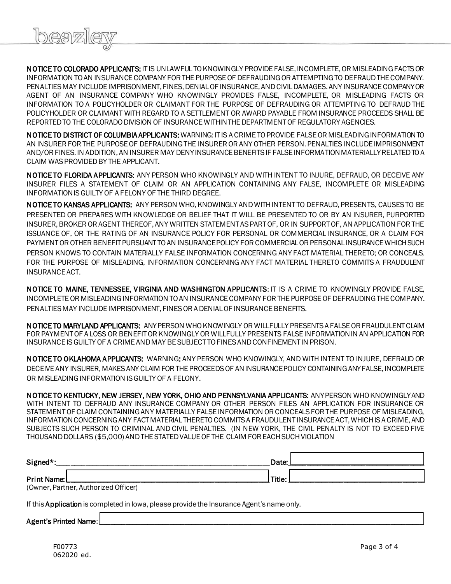

NOTICE TO COLORADO APPLICANTS: IT IS UNLAWFUL TO KNOWINGLY PROVIDE FALSE, INCOMPLETE, OR MISLEADING FACTS OR INFORMATION TO AN INSURANCE COMPANY FOR THE PURPOSE OF DEFRAUDING OR ATTEMPTING TO DEFRAUD THE COMPANY. PENALTIES MAY INCLUDE IMPRISONMENT, FINES, DENIAL OF INSURANCE, AND CIVIL DAMAGES. ANY INSURANCE COMPANY OR AGENT OF AN INSURANCE COMPANY WHO KNOWINGLY PROVIDES FALSE, INCOMPLETE, OR MISLEADING FACTS OR INFORMATION TO A POLICYHOLDER OR CLAIMANT FOR THE PURPOSE OF DEFRAUDING OR ATTEMPTING TO DEFRAUD THE POLICYHOLDER OR CLAIMANT WITH REGARD TO A SETTLEMENT OR AWARD PAYABLE FROM INSURANCE PROCEEDS SHALL BE REPORTED TO THE COLORADO DIVISION OF INSURANCE WITHIN THE DEPARTMENT OF REGULATORY AGENCIES.

NOTICE TO DISTRICT OF COLUMBIA APPLICANTS: WARNING: IT IS A CRIME TO PROVIDE FALSE OR MISLEADING INFORMATION TO AN INSURER FOR THE PURPOSE OF DEFRAUDING THE INSURER OR ANY OTHER PERSON. PENALTIES INCLUDE IMPRISONMENT AND/OR FINES. IN ADDITION, AN INSURER MAY DENY INSURANCE BENEFITS IF FALSE INFORMATION MATERIALLY RELATED TO A CLAIM WAS PROVIDED BY THE APPLICANT.

NOTICE TO FLORIDA APPLICANTS: ANY PERSON WHO KNOWINGLY AND WITH INTENT TO INJURE, DEFRAUD, OR DECEIVE ANY INSURER FILES A STATEMENT OF CLAIM OR AN APPLICATION CONTAINING ANY FALSE, INCOMPLETE OR MISLEADING INFORMATION IS GUILTY OF A FELONY OF THE THIRD DEGREE.

NOTICE TO KANSAS APPLICANTS: ANY PERSON WHO, KNOWINGLY AND WITH INTENT TO DEFRAUD, PRESENTS, CAUSES TO BE PRESENTED OR PREPARES WITH KNOWLEDGE OR BELIEF THAT IT WILL BE PRESENTED TO OR BY AN INSURER, PURPORTED INSURER, BROKER OR AGENT THEREOF, ANY WRITTEN STATEMENT AS PART OF, OR IN SUPPORT OF, AN APPLICATION FOR THE ISSUANCE OF, OR THE RATING OF AN INSURANCE POLICY FOR PERSONAL OR COMMERCIAL INSURANCE, OR A CLAIM FOR PAYMENT OR OTHER BENEFIT PURSUANT TO AN INSURANCE POLICY FOR COMMERCIAL OR PERSONAL INSURANCE WHICH SUCH PERSON KNOWS TO CONTAIN MATERIALLY FALSE INFORMATION CONCERNING ANY FACT MATERIAL THERETO; OR CONCEALS, FOR THE PURPOSE OF MISLEADING, INFORMATION CONCERNING ANY FACT MATERIAL THERETO COMMITS A FRAUDULENT INSURANCE ACT.

NOTICE TO MAINE, TENNESSEE, VIRGINIA AND WASHINGTON APPLICANTS: IT IS A CRIME TO KNOWINGLY PROVIDE FALSE, INCOMPLETE OR MISLEADING INFORMATION TO AN INSURANCE COMPANY FOR THE PURPOSE OF DEFRAUDING THE COMPANY. PENALTIES MAY INCLUDE IMPRISONMENT, FINES OR A DENIAL OF INSURANCE BENEFITS.

NOTICE TO MARYLAND APPLICANTS: ANY PERSON WHO KNOWINGLY OR WILLFULLY PRESENTS A FALSE OR FRAUDULENT CLAIM FOR PAYMENT OF A LOSS OR BENEFIT OR KNOWINGLY OR WILLFULLY PRESENTS FALSE INFORMATION IN AN APPLICATION FOR INSURANCE IS GUILTY OF A CRIME AND MAY BE SUBJECT TO FINES AND CONFINEMENT IN PRISON.

NOTICE TO OKLAHOMA APPLICANTS: WARNING: ANY PERSON WHO KNOWINGLY, AND WITH INTENT TO INJURE, DEFRAUD OR DECEIVE ANY INSURER, MAKES ANY CLAIM FOR THE PROCEEDS OF AN INSURANCE POLICY CONTAINING ANY FALSE, INCOMPLETE OR MISLEADING INFORMATION IS GUILTY OF A FELONY.

NOTICE TO KENTUCKY, NEW JERSEY, NEW YORK, OHIO AND PENNSYLVANIA APPLICANTS: ANY PERSON WHO KNOWINGLY AND WITH INTENT TO DEFRAUD ANY INSURANCE COMPANY OR OTHER PERSON FILES AN APPLICATION FOR INSURANCE OR STATEMENT OF CLAIM CONTAINING ANY MATERIALLY FALSE INFORMATION OR CONCEALS FOR THE PURPOSE OF MISLEADING, INFORMATION CONCERNING ANY FACT MATERIAL THERETO COMMITS A FRAUDULENT INSURANCE ACT, WHICH IS A CRIME, AND SUBJECTS SUCH PERSON TO CRIMINAL AND CIVIL PENALTIES. (IN NEW YORK, THE CIVIL PENALTY IS NOT TO EXCEED FIVE THOUSAND DOLLARS (\$5,000) AND THE STATED VALUE OF THE CLAIM FOR EACH SUCH VIOLATION

| Signed*:                          | Date:  |
|-----------------------------------|--------|
| Print Name:<br>$(0, \ldots, n-1)$ | Title: |

(Owner, Partner, Authorized Officer)

If this **Application** is completed in Iowa, please provide the Insurance Agent's name only.

Agent's Printed Name: